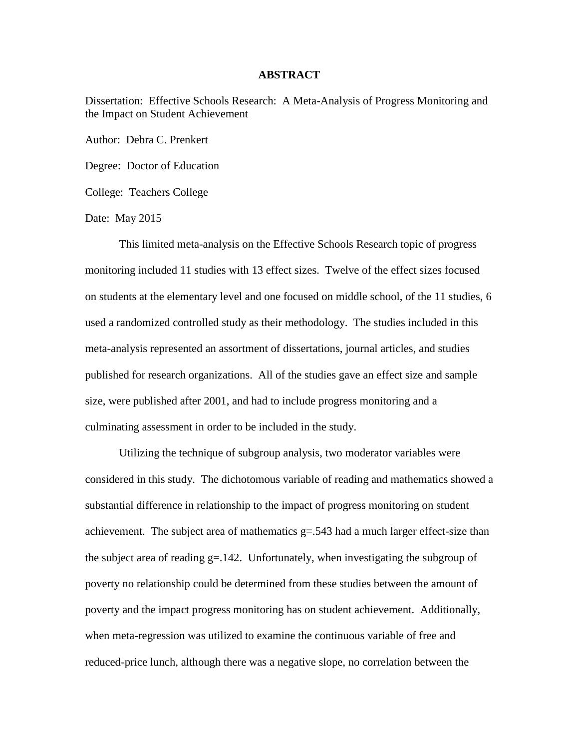## **ABSTRACT**

Dissertation: Effective Schools Research: A Meta-Analysis of Progress Monitoring and the Impact on Student Achievement

Author: Debra C. Prenkert

Degree: Doctor of Education

College: Teachers College

Date: May 2015

This limited meta-analysis on the Effective Schools Research topic of progress monitoring included 11 studies with 13 effect sizes. Twelve of the effect sizes focused on students at the elementary level and one focused on middle school, of the 11 studies, 6 used a randomized controlled study as their methodology. The studies included in this meta-analysis represented an assortment of dissertations, journal articles, and studies published for research organizations. All of the studies gave an effect size and sample size, were published after 2001, and had to include progress monitoring and a culminating assessment in order to be included in the study.

Utilizing the technique of subgroup analysis, two moderator variables were considered in this study. The dichotomous variable of reading and mathematics showed a substantial difference in relationship to the impact of progress monitoring on student achievement. The subject area of mathematics  $g = 0.543$  had a much larger effect-size than the subject area of reading g=.142. Unfortunately, when investigating the subgroup of poverty no relationship could be determined from these studies between the amount of poverty and the impact progress monitoring has on student achievement. Additionally, when meta-regression was utilized to examine the continuous variable of free and reduced-price lunch, although there was a negative slope, no correlation between the